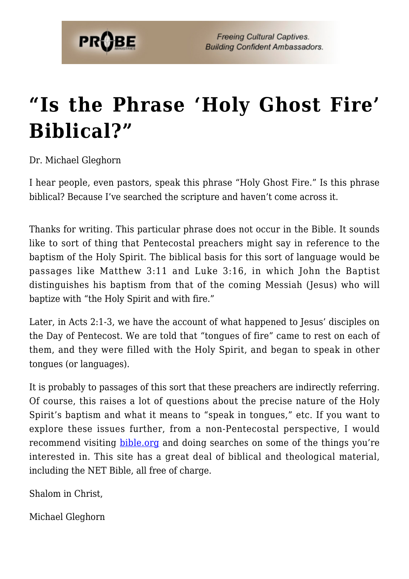

## **["Is the Phrase 'Holy Ghost Fire'](https://probe.org/is-the-phrase-holy-ghost-fire-biblical/) [Biblical?"](https://probe.org/is-the-phrase-holy-ghost-fire-biblical/)**

Dr. Michael Gleghorn

I hear people, even pastors, speak this phrase "Holy Ghost Fire." Is this phrase biblical? Because I've searched the scripture and haven't come across it.

Thanks for writing. This particular phrase does not occur in the Bible. It sounds like to sort of thing that Pentecostal preachers might say in reference to the baptism of the Holy Spirit. The biblical basis for this sort of language would be passages like Matthew 3:11 and Luke 3:16, in which John the Baptist distinguishes his baptism from that of the coming Messiah (Jesus) who will baptize with "the Holy Spirit and with fire."

Later, in Acts 2:1-3, we have the account of what happened to Jesus' disciples on the Day of Pentecost. We are told that "tongues of fire" came to rest on each of them, and they were filled with the Holy Spirit, and began to speak in other tongues (or languages).

It is probably to passages of this sort that these preachers are indirectly referring. Of course, this raises a lot of questions about the precise nature of the Holy Spirit's baptism and what it means to "speak in tongues," etc. If you want to explore these issues further, from a non-Pentecostal perspective, I would recommend visiting [bible.org](http://bible.org) and doing searches on some of the things you're interested in. This site has a great deal of biblical and theological material, including the NET Bible, all free of charge.

Shalom in Christ,

Michael Gleghorn